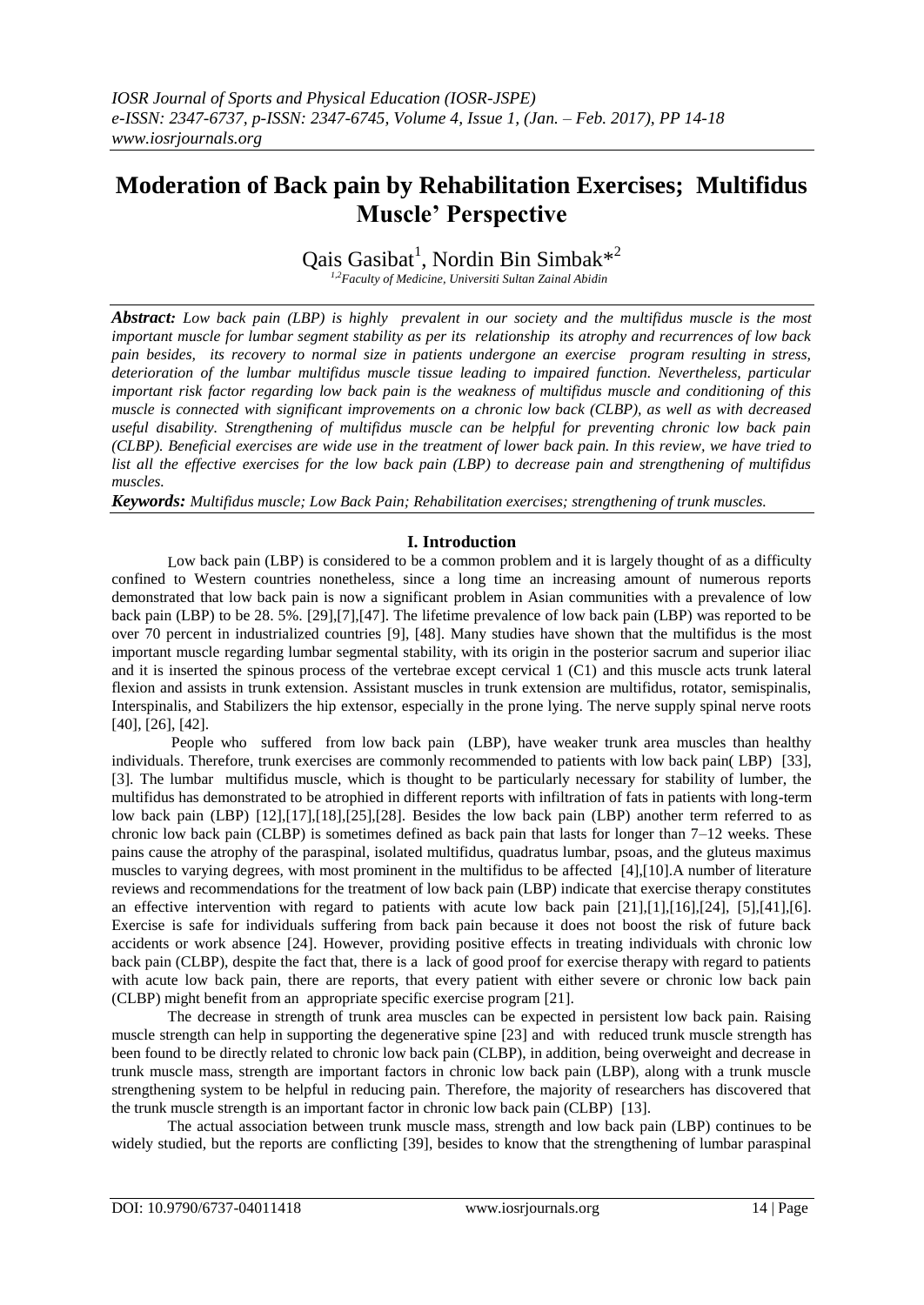# **Moderation of Back pain by Rehabilitation Exercises; Multifidus Muscle' Perspective**

Qais Gasibat<sup>1</sup>, Nordin Bin Simbak<sup>\*2</sup>

*1,2Faculty of Medicine, Universiti Sultan Zainal Abidin*

*Abstract: Low back pain (LBP) is highly prevalent in our society and the multifidus muscle is the most important muscle for lumbar segment stability as per its relationship its atrophy and recurrences of low back pain besides, its recovery to normal size in patients undergone an exercise program resulting in stress, deterioration of the lumbar multifidus muscle tissue leading to impaired function. Nevertheless, particular important risk factor regarding low back pain is the weakness of multifidus muscle and conditioning of this muscle is connected with significant improvements on a chronic low back (CLBP), as well as with decreased useful disability. Strengthening of multifidus muscle can be helpful for preventing chronic low back pain (CLBP). Beneficial exercises are wide use in the treatment of lower back pain. In this review, we have tried to list all the effective exercises for the low back pain (LBP) to decrease pain and strengthening of multifidus muscles.*

*Keywords: Multifidus muscle; Low Back Pain; Rehabilitation exercises; strengthening of trunk muscles.*

### **I. Introduction**

Low back pain (LBP) is considered to be a common problem and it is largely thought of as a difficulty confined to Western countries nonetheless, since a long time an increasing amount of numerous reports demonstrated that low back pain is now a significant problem in Asian communities with a prevalence of low back pain (LBP) to be 28. 5%. [29],[7],[47]. The lifetime prevalence of low back pain (LBP) was reported to be over 70 percent in industrialized countries [9], [48]. Many studies have shown that the multifidus is the most important muscle regarding lumbar segmental stability, with its origin in the posterior sacrum and superior iliac and it is inserted the spinous process of the vertebrae except cervical 1 (C1) and this muscle acts trunk lateral flexion and assists in trunk extension. Assistant muscles in trunk extension are multifidus, rotator, semispinalis, Interspinalis, and Stabilizers the hip extensor, especially in the prone lying. The nerve supply spinal nerve roots [40], [26], [42].

People who suffered from low back pain (LBP), have weaker trunk area muscles than healthy individuals. Therefore, trunk exercises are commonly recommended to patients with low back pain( LBP) [33], [3]. The lumbar multifidus muscle, which is thought to be particularly necessary for stability of lumber, the multifidus has demonstrated to be atrophied in different reports with infiltration of fats in patients with long-term low back pain (LBP) [12],[17],[18],[25],[28]. Besides the low back pain (LBP) another term referred to as chronic low back pain (CLBP) is sometimes defined as back pain that lasts for longer than 7–12 weeks. These pains cause the atrophy of the paraspinal, isolated multifidus, quadratus lumbar, psoas, and the gluteus maximus muscles to varying degrees, with most prominent in the multifidus to be affected [4],[10].A number of literature reviews and recommendations for the treatment of low back pain (LBP) indicate that exercise therapy constitutes an effective intervention with regard to patients with acute low back pain [21],[1],[16],[24], [5],[41],[6]. Exercise is safe for individuals suffering from back pain because it does not boost the risk of future back accidents or work absence [24]. However, providing positive effects in treating individuals with chronic low back pain (CLBP), despite the fact that, there is a lack of good proof for exercise therapy with regard to patients with acute low back pain, there are reports, that every patient with either severe or chronic low back pain (CLBP) might benefit from an appropriate specific exercise program [21].

The decrease in strength of trunk area muscles can be expected in persistent low back pain. Raising muscle strength can help in supporting the degenerative spine [23] and with reduced trunk muscle strength has been found to be directly related to chronic low back pain (CLBP), in addition, being overweight and decrease in trunk muscle mass, strength are important factors in chronic low back pain (LBP), along with a trunk muscle strengthening system to be helpful in reducing pain. Therefore, the majority of researchers has discovered that the trunk muscle strength is an important factor in chronic low back pain (CLBP) [13].

The actual association between trunk muscle mass, strength and low back pain (LBP) continues to be widely studied, but the reports are conflicting [39], besides to know that the strengthening of lumbar paraspinal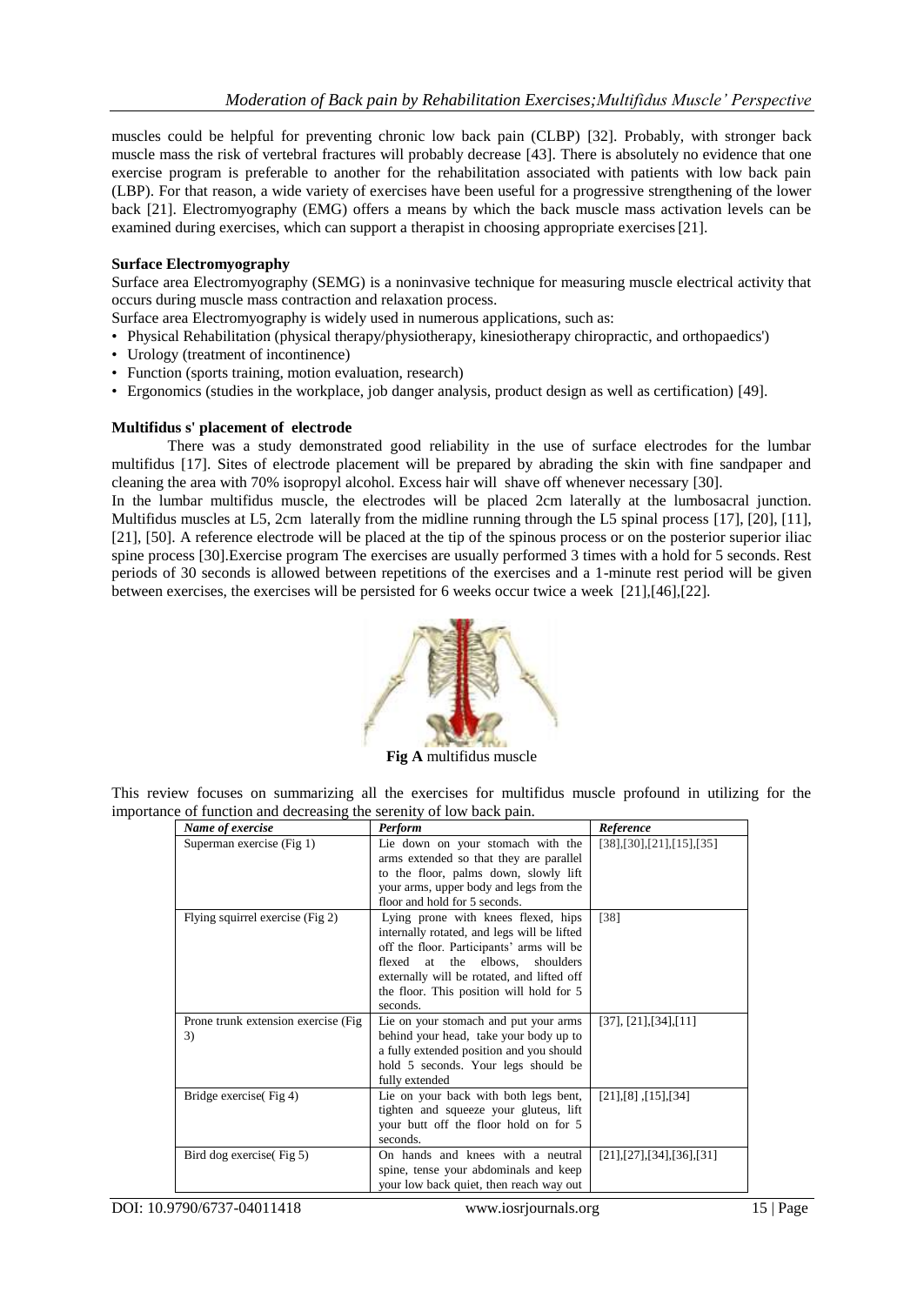muscles could be helpful for preventing chronic low back pain (CLBP) [32]. Probably, with stronger back muscle mass the risk of vertebral fractures will probably decrease [43]. There is absolutely no evidence that one exercise program is preferable to another for the rehabilitation associated with patients with low back pain (LBP). For that reason, a wide variety of exercises have been useful for a progressive strengthening of the lower back [21]. Electromyography (EMG) offers a means by which the back muscle mass activation levels can be examined during exercises, which can support a therapist in choosing appropriate exercises[21].

### **Surface Electromyography**

Surface area Electromyography (SEMG) is a noninvasive technique for measuring muscle electrical activity that occurs during muscle mass contraction and relaxation process.

Surface area Electromyography is widely used in numerous applications, such as:

- Physical Rehabilitation (physical therapy/physiotherapy, kinesiotherapy chiropractic, and orthopaedics')
- Urology (treatment of incontinence)
- Function (sports training, motion evaluation, research)
- Ergonomics (studies in the workplace, job danger analysis, product design as well as certification) [49].

### **Multifidus s' placement of electrode**

There was a study demonstrated good reliability in the use of surface electrodes for the lumbar multifidus [17]. Sites of electrode placement will be prepared by abrading the skin with fine sandpaper and cleaning the area with 70% isopropyl alcohol. Excess hair will shave off whenever necessary [30].

In the lumbar multifidus muscle, the electrodes will be placed 2cm laterally at the lumbosacral junction. Multifidus muscles at L5, 2cm laterally from the midline running through the L5 spinal process [17], [20], [11], [21], [50]. A reference electrode will be placed at the tip of the spinous process or on the posterior superior iliac spine process [30].Exercise program The exercises are usually performed 3 times with a hold for 5 seconds. Rest periods of 30 seconds is allowed between repetitions of the exercises and a 1-minute rest period will be given between exercises, the exercises will be persisted for 6 weeks occur twice a week [21],[46],[22].



**Fig A** multifidus muscle

This review focuses on summarizing all the exercises for multifidus muscle profound in utilizing for the importance of function and decreasing the serenity of low back pain.

| Name of exercise                     | <b>Perform</b>                                                                  | Reference                |
|--------------------------------------|---------------------------------------------------------------------------------|--------------------------|
| Superman exercise (Fig 1)            | Lie down on your stomach with the<br>arms extended so that they are parallel    | [38],[30],[21],[15],[35] |
|                                      | to the floor, palms down, slowly lift                                           |                          |
|                                      | your arms, upper body and legs from the                                         |                          |
|                                      | floor and hold for 5 seconds.                                                   |                          |
| Flying squirrel exercise (Fig 2)     | Lying prone with knees flexed, hips                                             | [38]                     |
|                                      | internally rotated, and legs will be lifted                                     |                          |
|                                      | off the floor. Participants' arms will be                                       |                          |
|                                      | flexed<br>at<br>the elbows,<br>shoulders                                        |                          |
|                                      | externally will be rotated, and lifted off                                      |                          |
|                                      | the floor. This position will hold for 5                                        |                          |
|                                      | seconds.                                                                        |                          |
| Prone trunk extension exercise (Fig. | Lie on your stomach and put your arms                                           | [37], [21], [34], [11]   |
| 3)                                   | behind your head, take your body up to                                          |                          |
|                                      | a fully extended position and you should<br>hold 5 seconds. Your legs should be |                          |
|                                      | fully extended                                                                  |                          |
| Bridge exercise(Fig 4)               | Lie on your back with both legs bent,                                           | [21],[8],[15],[34]       |
|                                      | tighten and squeeze your gluteus, lift                                          |                          |
|                                      | your butt off the floor hold on for 5                                           |                          |
|                                      | seconds.                                                                        |                          |
| Bird dog exercise(Fig 5)             | On hands and knees with a neutral                                               | [21],[27],[34],[36],[31] |
|                                      | spine, tense your abdominals and keep                                           |                          |
|                                      | your low back quiet, then reach way out                                         |                          |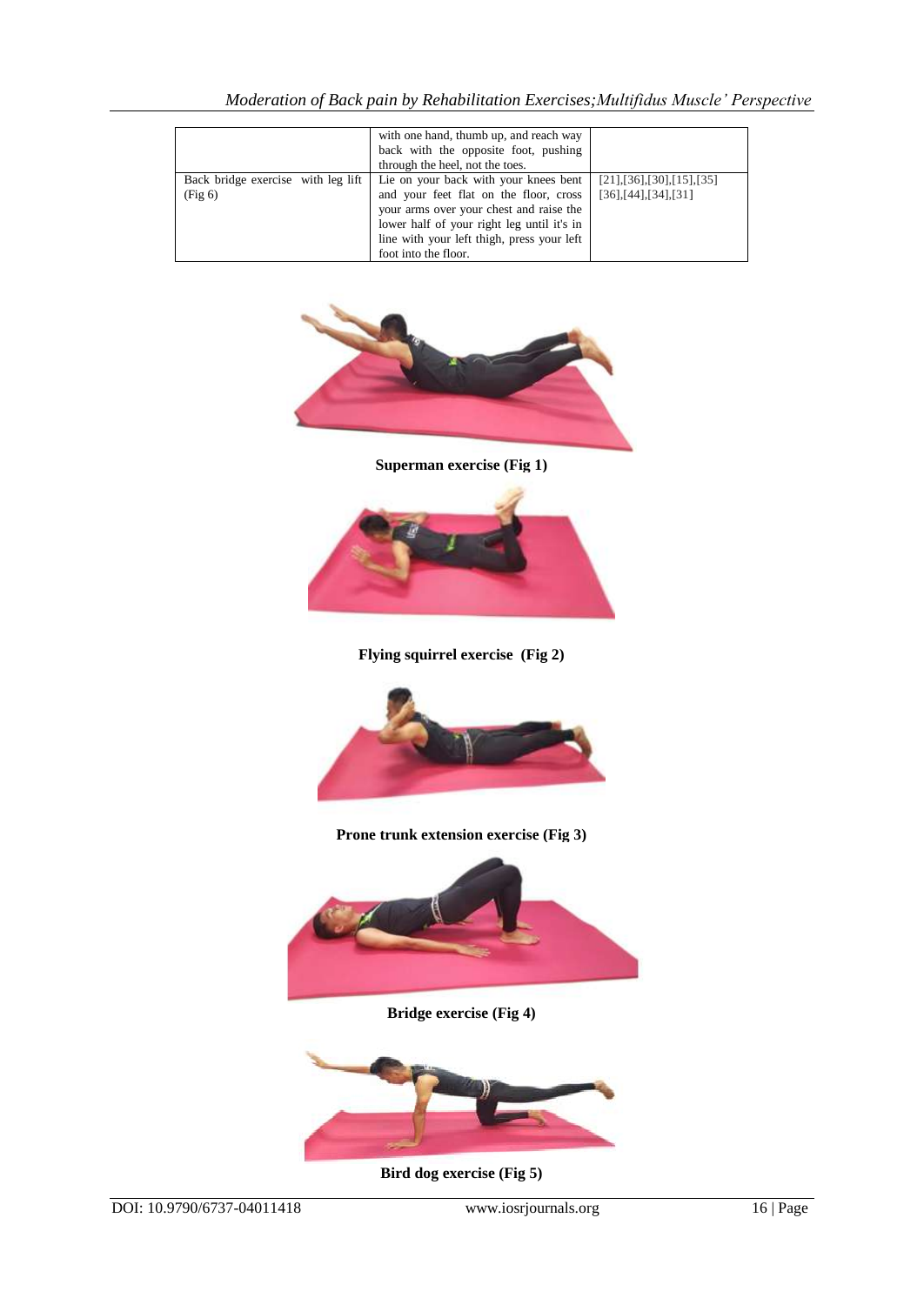|                                               | with one hand, thumb up, and reach way<br>back with the opposite foot, pushing<br>through the heel, not the toes.                                                                                                                              |                                                                                 |
|-----------------------------------------------|------------------------------------------------------------------------------------------------------------------------------------------------------------------------------------------------------------------------------------------------|---------------------------------------------------------------------------------|
| Back bridge exercise with leg lift<br>(Fig 6) | Lie on your back with your knees bent<br>and your feet flat on the floor, cross<br>your arms over your chest and raise the<br>lower half of your right leg until it's in<br>line with your left thigh, press your left<br>foot into the floor. | $[21]$ , $[36]$ , $[30]$ , $[15]$ , $[35]$<br>$[36]$ , $[44]$ , $[34]$ , $[31]$ |



**Superman exercise (Fig 1)**



**Flying squirrel exercise (Fig 2)**



## **Prone trunk extension exercise (Fig 3)**



**Bridge exercise (Fig 4)**



**Bird dog exercise (Fig 5)**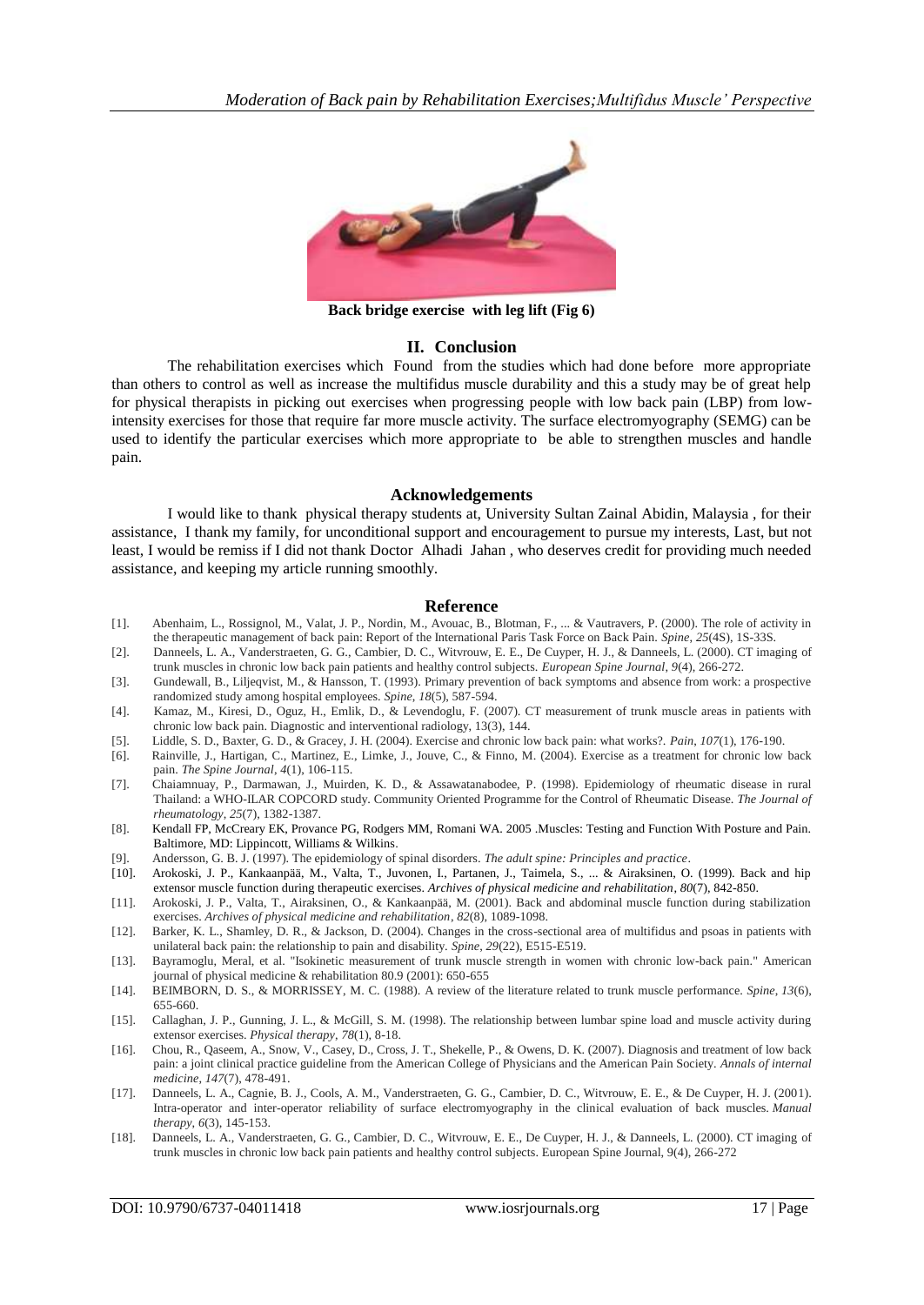

**Back bridge exercise with leg lift (Fig 6)**

### **II. Conclusion**

The rehabilitation exercises which Found from the studies which had done before more appropriate than others to control as well as increase the multifidus muscle durability and this a study may be of great help for physical therapists in picking out exercises when progressing people with low back pain (LBP) from lowintensity exercises for those that require far more muscle activity. The surface electromyography (SEMG) can be used to identify the particular exercises which more appropriate to be able to strengthen muscles and handle pain.

### **Acknowledgements**

I would like to thank physical therapy students at, University Sultan Zainal Abidin, Malaysia , for their assistance, I thank my family, for unconditional support and encouragement to pursue my interests, Last, but not least, I would be remiss if I did not thank Doctor Alhadi Jahan , who deserves credit for providing much needed assistance, and keeping my article running smoothly.

#### **Reference**

- [1]. Abenhaim, L., Rossignol, M., Valat, J. P., Nordin, M., Avouac, B., Blotman, F., ... & Vautravers, P. (2000). The role of activity in the therapeutic management of back pain: Report of the International Paris Task Force on Back Pain. *Spine*, *25*(4S), 1S-33S.
- [2]. Danneels, L. A., Vanderstraeten, G. G., Cambier, D. C., Witvrouw, E. E., De Cuyper, H. J., & Danneels, L. (2000). CT imaging of trunk muscles in chronic low back pain patients and healthy control subjects. *European Spine Journal*, *9*(4), 266-272.
- [3]. Gundewall, B., Liljeqvist, M., & Hansson, T. (1993). Primary prevention of back symptoms and absence from work: a prospective randomized study among hospital employees. *Spine*, *18*(5), 587-594.
- [4]. Kamaz, M., Kiresi, D., Oguz, H., Emlik, D., & Levendoglu, F. (2007). CT measurement of trunk muscle areas in patients with chronic low back pain. Diagnostic and interventional radiology, 13(3), 144.
- [5]. Liddle, S. D., Baxter, G. D., & Gracey, J. H. (2004). Exercise and chronic low back pain: what works?. *Pain*, *107*(1), 176-190.
- [6]. Rainville, J., Hartigan, C., Martinez, E., Limke, J., Jouve, C., & Finno, M. (2004). Exercise as a treatment for chronic low back pain. *The Spine Journal*, *4*(1), 106-115.
- [7]. Chaiamnuay, P., Darmawan, J., Muirden, K. D., & Assawatanabodee, P. (1998). Epidemiology of rheumatic disease in rural Thailand: a WHO-ILAR COPCORD study. Community Oriented Programme for the Control of Rheumatic Disease. *The Journal of rheumatology*, *25*(7), 1382-1387.
- [8]. Kendall FP, McCreary EK, Provance PG, Rodgers MM, Romani WA. 2005 .Muscles: Testing and Function With Posture and Pain. Baltimore, MD: Lippincott, Williams & Wilkins.
- [9]. Andersson, G. B. J. (1997). The epidemiology of spinal disorders. *The adult spine: Principles and practice*.
- [10]. Arokoski, J. P., Kankaanpää, M., Valta, T., Juvonen, I., Partanen, J., Taimela, S., ... & Airaksinen, O. (1999). Back and hip extensor muscle function during therapeutic exercises. *Archives of physical medicine and rehabilitation*, *80*(7), 842-850.
- [11]. Arokoski, J. P., Valta, T., Airaksinen, O., & Kankaanpää, M. (2001). Back and abdominal muscle function during stabilization exercises. *Archives of physical medicine and rehabilitation*, *82*(8), 1089-1098.
- [12]. Barker, K. L., Shamley, D. R., & Jackson, D. (2004). Changes in the cross-sectional area of multifidus and psoas in patients with unilateral back pain: the relationship to pain and disability. *Spine*, *29*(22), E515-E519.
- [13]. Bayramoglu, Meral, et al. "Isokinetic measurement of trunk muscle strength in women with chronic low-back pain." American journal of physical medicine & rehabilitation 80.9 (2001): 650-655
- [14]. BEIMBORN, D. S., & MORRISSEY, M. C. (1988). A review of the literature related to trunk muscle performance. *Spine*, *13*(6), 655-660.
- [15]. Callaghan, J. P., Gunning, J. L., & McGill, S. M. (1998). The relationship between lumbar spine load and muscle activity during extensor exercises. *Physical therapy*, *78*(1), 8-18.
- [16]. Chou, R., Qaseem, A., Snow, V., Casey, D., Cross, J. T., Shekelle, P., & Owens, D. K. (2007). Diagnosis and treatment of low back pain: a joint clinical practice guideline from the American College of Physicians and the American Pain Society. *Annals of internal medicine*, *147*(7), 478-491.
- [17]. Danneels, L. A., Cagnie, B. J., Cools, A. M., Vanderstraeten, G. G., Cambier, D. C., Witvrouw, E. E., & De Cuyper, H. J. (2001). Intra-operator and inter-operator reliability of surface electromyography in the clinical evaluation of back muscles. *Manual therapy*, *6*(3), 145-153.
- [18]. Danneels, L. A., Vanderstraeten, G. G., Cambier, D. C., Witvrouw, E. E., De Cuyper, H. J., & Danneels, L. (2000). CT imaging of trunk muscles in chronic low back pain patients and healthy control subjects. European Spine Journal, 9(4), 266-272